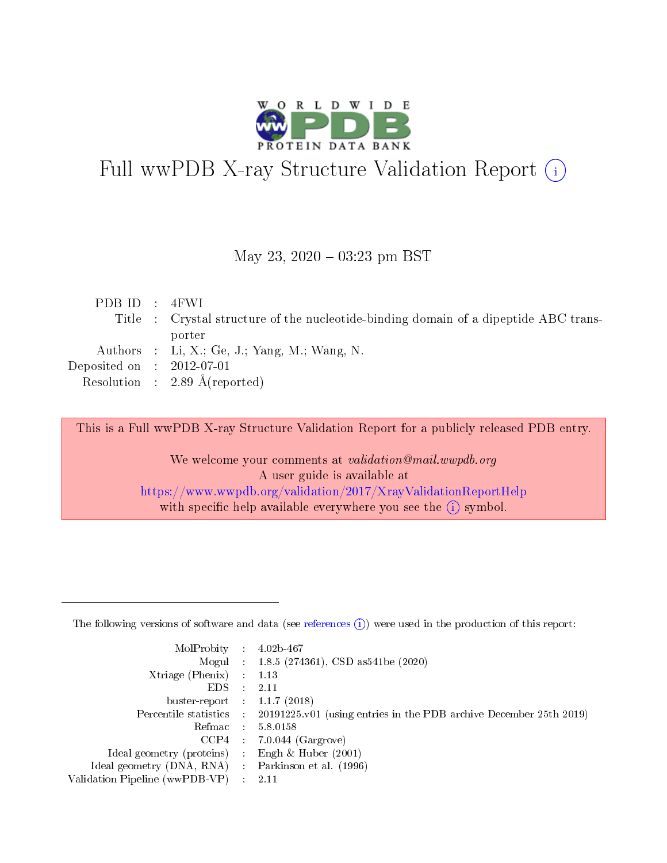

# Full wwPDB X-ray Structure Validation Report (i)

#### May 23,  $2020 - 03:23$  pm BST

| PDBID : 4FWI                |                                                                                      |
|-----------------------------|--------------------------------------------------------------------------------------|
|                             | Title : Crystal structure of the nucleotide-binding domain of a dipeptide ABC trans- |
|                             | porter                                                                               |
|                             | Authors : Li, X.; Ge, J.; Yang, M.; Wang, N.                                         |
| Deposited on : $2012-07-01$ |                                                                                      |
|                             | Resolution : 2.89 $\AA$ (reported)                                                   |
|                             |                                                                                      |

This is a Full wwPDB X-ray Structure Validation Report for a publicly released PDB entry.

We welcome your comments at validation@mail.wwpdb.org A user guide is available at <https://www.wwpdb.org/validation/2017/XrayValidationReportHelp> with specific help available everywhere you see the  $(i)$  symbol.

The following versions of software and data (see [references](https://www.wwpdb.org/validation/2017/XrayValidationReportHelp#references)  $(1)$ ) were used in the production of this report:

| MolProbity :                   |               | $4.02b - 467$                                                               |
|--------------------------------|---------------|-----------------------------------------------------------------------------|
|                                |               | Mogul : $1.8.5$ (274361), CSD as 541be (2020)                               |
| Xtriage (Phenix)               | $\mathcal{L}$ | 1.13                                                                        |
| EDS.                           |               | 2.11                                                                        |
| buster-report : $1.1.7$ (2018) |               |                                                                             |
| Percentile statistics :        |               | $20191225 \text{v}01$ (using entries in the PDB archive December 25th 2019) |
| Refmac :                       |               | 5.8.0158                                                                    |
| CCP4                           |               | $7.0.044$ (Gargrove)                                                        |
| Ideal geometry (proteins) :    |               | Engh & Huber $(2001)$                                                       |
| Ideal geometry (DNA, RNA) :    |               | Parkinson et al. (1996)                                                     |
| Validation Pipeline (wwPDB-VP) | $\mathcal{L}$ | 2.11                                                                        |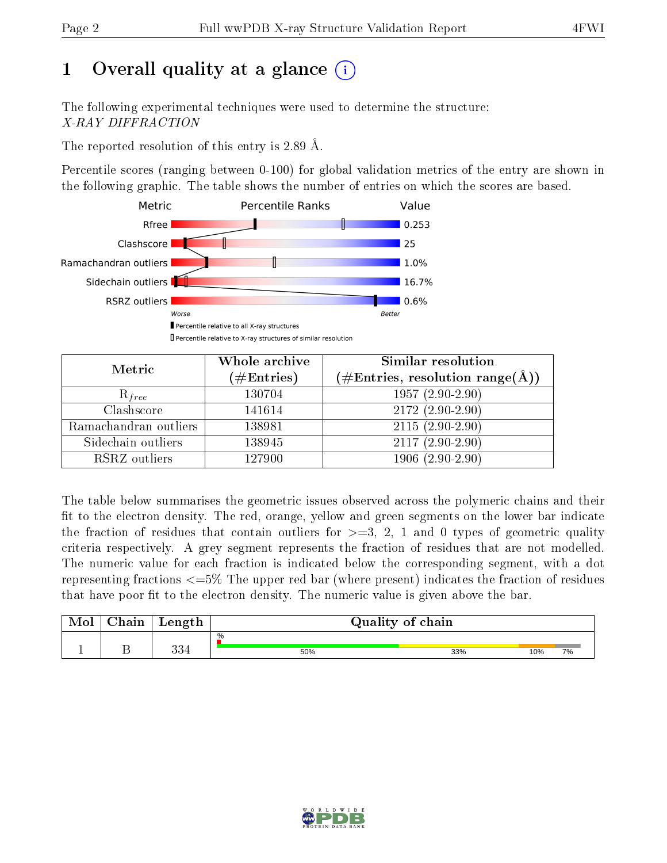## 1 [O](https://www.wwpdb.org/validation/2017/XrayValidationReportHelp#overall_quality)verall quality at a glance  $(i)$

The following experimental techniques were used to determine the structure: X-RAY DIFFRACTION

The reported resolution of this entry is 2.89 Å.

Percentile scores (ranging between 0-100) for global validation metrics of the entry are shown in the following graphic. The table shows the number of entries on which the scores are based.



| Metric                | Whole archive<br>$(\#\text{Entries})$ | <b>Similar resolution</b><br>$(\#\text{Entries}, \, \text{resolution range}(\textup{\AA}))$ |
|-----------------------|---------------------------------------|---------------------------------------------------------------------------------------------|
| $R_{free}$            | 130704                                | $1957(2.90-2.90)$                                                                           |
| Clashscore            | 141614                                | $\overline{2172}$ $(2.90-2.90)$                                                             |
| Ramachandran outliers | 138981                                | $2115(2.90-2.90)$                                                                           |
| Sidechain outliers    | 138945                                | $2117(2.90-2.90)$                                                                           |
| RSRZ outliers         | 127900                                | $1906(2.90-2.90)$                                                                           |

The table below summarises the geometric issues observed across the polymeric chains and their fit to the electron density. The red, orange, yellow and green segments on the lower bar indicate the fraction of residues that contain outliers for  $>=3, 2, 1$  and 0 types of geometric quality criteria respectively. A grey segment represents the fraction of residues that are not modelled. The numeric value for each fraction is indicated below the corresponding segment, with a dot representing fractions  $\epsilon=5\%$  The upper red bar (where present) indicates the fraction of residues that have poor fit to the electron density. The numeric value is given above the bar.

| Mol       | $\alpha$ hain | Length    |      | Quality of chain |     |           |
|-----------|---------------|-----------|------|------------------|-----|-----------|
|           |               |           | $\%$ |                  |     |           |
| <u>д.</u> | ∸             | າາ<br>⊢טכ | 50%  | 33%              | 10% | <b>7%</b> |

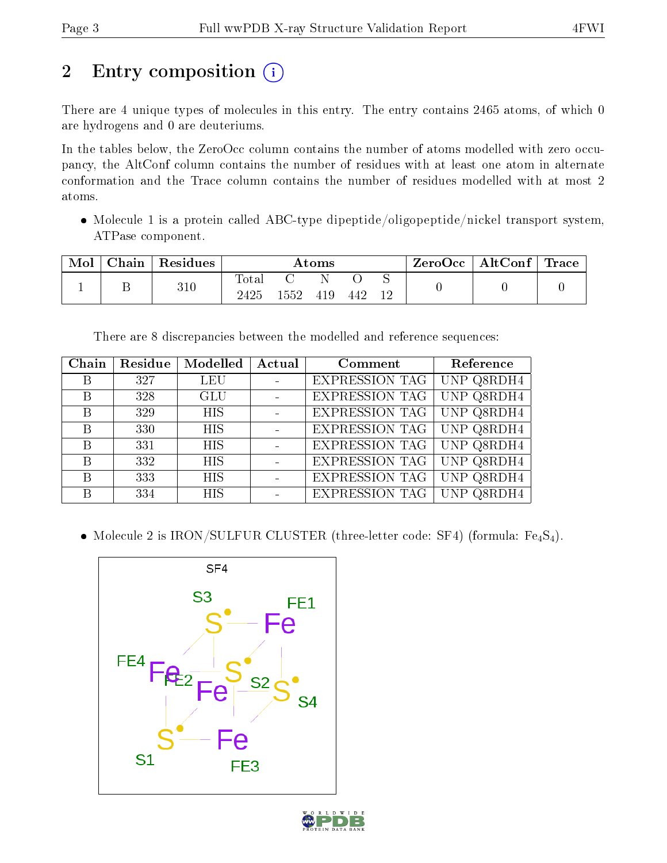## 2 Entry composition (i)

There are 4 unique types of molecules in this entry. The entry contains 2465 atoms, of which 0 are hydrogens and 0 are deuteriums.

In the tables below, the ZeroOcc column contains the number of atoms modelled with zero occupancy, the AltConf column contains the number of residues with at least one atom in alternate conformation and the Trace column contains the number of residues modelled with at most 2 atoms.

 Molecule 1 is a protein called ABC-type dipeptide/oligopeptide/nickel transport system, ATPase component.

| Mol | Chain | Residues | $\rm{Atoms}$        |      |     |     | $\pm$ ZeroOcc $^+$ | AltConf | $^{\shortmid}$ Trace |  |
|-----|-------|----------|---------------------|------|-----|-----|--------------------|---------|----------------------|--|
|     | ∸     | 310      | $\rm Total$<br>2425 | 1552 | 419 | 442 | 12                 |         |                      |  |

There are 8 discrepancies between the modelled and reference sequences:

| Chain        | Residue | Modelled   | Actual                  | Comment               | Reference  |
|--------------|---------|------------|-------------------------|-----------------------|------------|
| B            | 327     | <b>LEU</b> | $\sim 100$ km s $^{-1}$ | <b>EXPRESSION TAG</b> | UNP Q8RDH4 |
| $\mathbf{B}$ | 328     | GLU        | $\sim 100$ km s $^{-1}$ | <b>EXPRESSION TAG</b> | UNP Q8RDH4 |
| B            | 329     | <b>HIS</b> | $\sim$ $-$              | <b>EXPRESSION TAG</b> | UNP Q8RDH4 |
| B            | 330     | <b>HIS</b> |                         | <b>EXPRESSION TAG</b> | UNP Q8RDH4 |
| B            | 331     | <b>HIS</b> |                         | <b>EXPRESSION TAG</b> | UNP Q8RDH4 |
| B            | 332     | HIS        |                         | <b>EXPRESSION TAG</b> | UNP Q8RDH4 |
| B            | 333     | HIS        |                         | <b>EXPRESSION TAG</b> | UNP Q8RDH4 |
| B            | 334     | <b>HIS</b> |                         | <b>EXPRESSION TAG</b> | UNP Q8RDH4 |

• Molecule 2 is IRON/SULFUR CLUSTER (three-letter code: SF4) (formula:  $Fe_4S_4$ ).



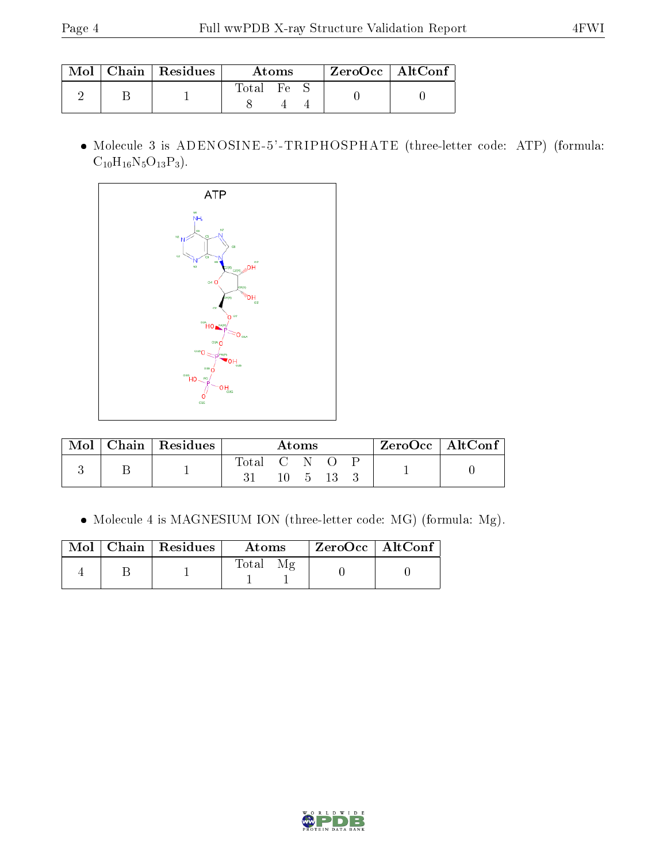|  | $Mol$   Chain   Residues | Atoms    |  |  | $ZeroOcc \mid AltConf$ |
|--|--------------------------|----------|--|--|------------------------|
|  |                          | Total Fe |  |  |                        |

 Molecule 3 is ADENOSINE-5'-TRIPHOSPHATE (three-letter code: ATP) (formula:  $C_{10}H_{16}N_5O_{13}P_3$ .



| Mol | Chain   Residues | Atoms     |  |  |  |  | ZeroOcc   AltConf |
|-----|------------------|-----------|--|--|--|--|-------------------|
|     |                  | Total C N |  |  |  |  |                   |

Molecule 4 is MAGNESIUM ION (three-letter code: MG) (formula: Mg).

|  | Mol   Chain   Residues | Atoms | $\rm ZeroOcc \mid AltConf$ |  |
|--|------------------------|-------|----------------------------|--|
|  |                        | Total |                            |  |

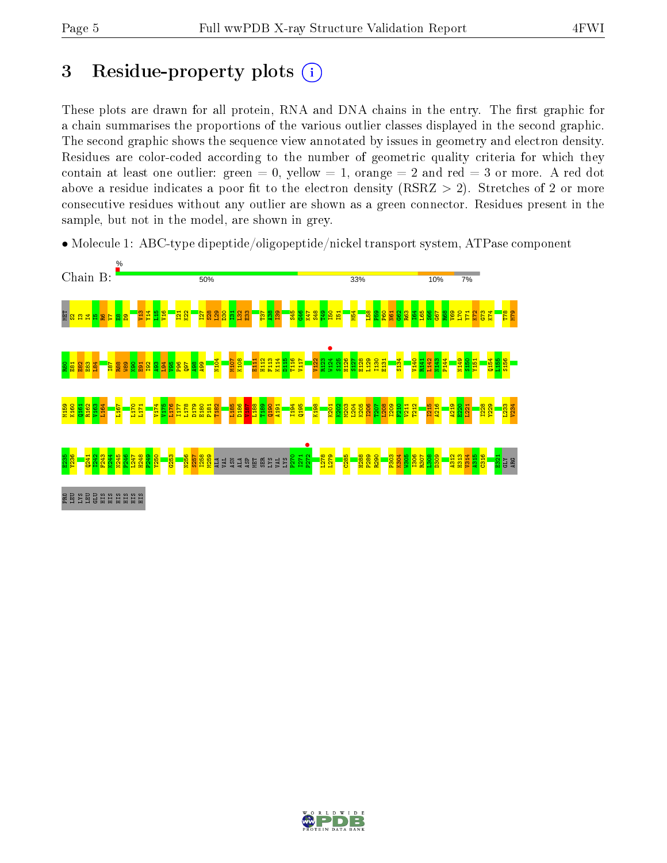## 3 Residue-property plots  $(i)$

These plots are drawn for all protein, RNA and DNA chains in the entry. The first graphic for a chain summarises the proportions of the various outlier classes displayed in the second graphic. The second graphic shows the sequence view annotated by issues in geometry and electron density. Residues are color-coded according to the number of geometric quality criteria for which they contain at least one outlier: green  $= 0$ , yellow  $= 1$ , orange  $= 2$  and red  $= 3$  or more. A red dot above a residue indicates a poor fit to the electron density (RSRZ  $> 2$ ). Stretches of 2 or more consecutive residues without any outlier are shown as a green connector. Residues present in the sample, but not in the model, are shown in grey.

• Molecule 1: ABC-type dipeptide/oligopeptide/nickel transport system, ATPase component



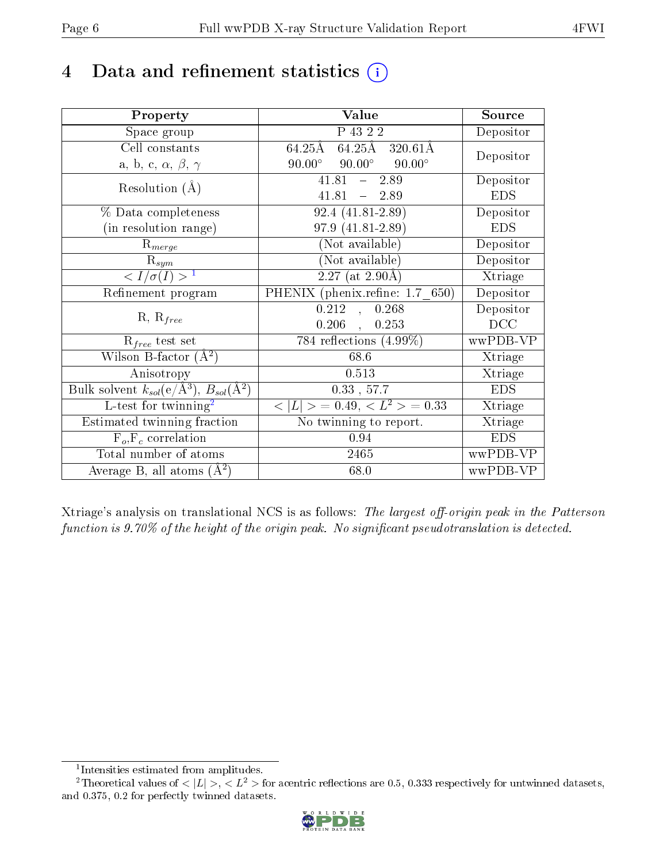## 4 Data and refinement statistics  $(i)$

| Property                                                             | Value                                                                        | Source     |
|----------------------------------------------------------------------|------------------------------------------------------------------------------|------------|
| Space group                                                          | P 43 2 2                                                                     | Depositor  |
| Cell constants                                                       | $64.25\text{\AA}$ $64.2\overline{5}\text{\AA}$ $320.61\overline{\text{\AA}}$ | Depositor  |
| a, b, c, $\alpha$ , $\beta$ , $\gamma$                               | $90.00^{\circ}$ $90.00^{\circ}$ $90.00^{\circ}$                              |            |
| Resolution $(A)$                                                     | $41.81 - 2.89$                                                               | Depositor  |
|                                                                      | $41.81 - 2.89$                                                               | <b>EDS</b> |
| % Data completeness                                                  | $92.4(41.81-2.89)$                                                           | Depositor  |
| (in resolution range)                                                | 97.9 (41.81-2.89)                                                            | <b>EDS</b> |
| $\mathrm{R}_{merge}$                                                 | (Not available)                                                              | Depositor  |
| $\mathrm{R}_{sym}$                                                   | (Not available)                                                              | Depositor  |
| $\sqrt{I/\sigma(I)} > 1$                                             | $\sqrt{2.27 \text{ (at } 2.90 \text{\AA})}$                                  | Xtriage    |
| Refinement program                                                   | PHENIX (phenix.refine: 1.7 650)                                              | Depositor  |
|                                                                      | 0.212<br>0.268<br>$\sim$                                                     | Depositor  |
| $R, R_{free}$                                                        | $0.206$ ,<br>0.253                                                           | DCC        |
| $R_{free}$ test set                                                  | 784 reflections $(4.99\%)$                                                   | wwPDB-VP   |
| Wilson B-factor $(A^2)$                                              | 68.6                                                                         | Xtriage    |
| Anisotropy                                                           | 0.513                                                                        | Xtriage    |
| Bulk solvent $k_{sol}(e/\mathring{A}^3)$ , $B_{sol}(\mathring{A}^2)$ | $0.33$ , $57.7$                                                              | <b>EDS</b> |
| $L$ -test for twinning <sup>2</sup>                                  | $< L >$ = 0.49, $< L2$ > = 0.33                                              | Xtriage    |
| Estimated twinning fraction                                          | No twinning to report.                                                       | Xtriage    |
| $F_o, F_c$ correlation                                               | 0.94                                                                         | <b>EDS</b> |
| Total number of atoms                                                | 2465                                                                         | wwPDB-VP   |
| Average B, all atoms $(A^2)$                                         | 68.0                                                                         | wwPDB-VP   |

Xtriage's analysis on translational NCS is as follows: The largest off-origin peak in the Patterson function is  $9.70\%$  of the height of the origin peak. No significant pseudotranslation is detected.

<sup>&</sup>lt;sup>2</sup>Theoretical values of  $\langle |L| \rangle$ ,  $\langle L^2 \rangle$  for acentric reflections are 0.5, 0.333 respectively for untwinned datasets, and 0.375, 0.2 for perfectly twinned datasets.



<span id="page-5-1"></span><span id="page-5-0"></span><sup>1</sup> Intensities estimated from amplitudes.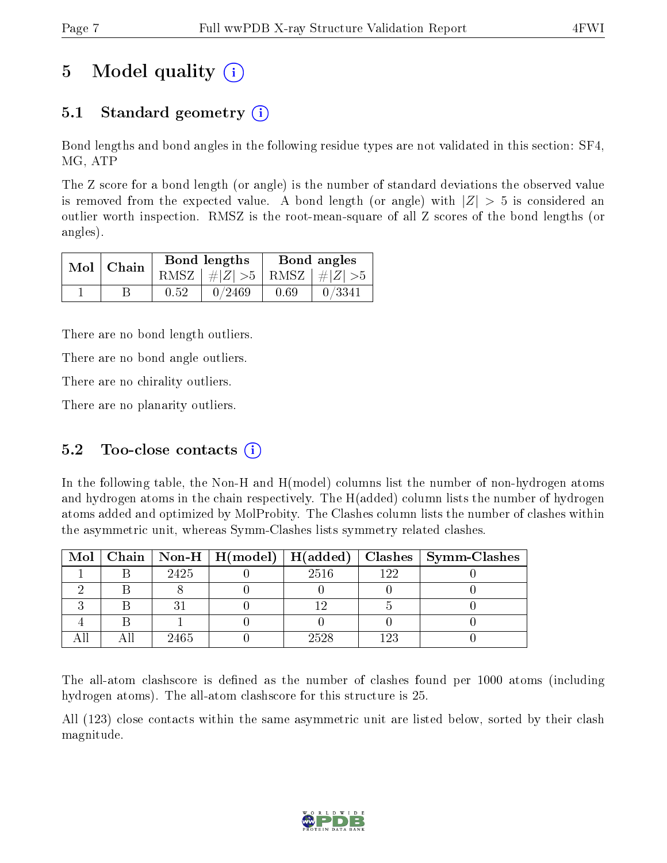## 5 Model quality  $(i)$

### 5.1 Standard geometry  $(i)$

Bond lengths and bond angles in the following residue types are not validated in this section: SF4, MG, ATP

The Z score for a bond length (or angle) is the number of standard deviations the observed value is removed from the expected value. A bond length (or angle) with  $|Z| > 5$  is considered an outlier worth inspection. RMSZ is the root-mean-square of all Z scores of the bond lengths (or angles).

|  | $Mol$   Chain |      | Bond lengths                    | Bond angles |        |  |
|--|---------------|------|---------------------------------|-------------|--------|--|
|  |               |      | RMSZ $ #Z  > 5$ RMSZ $ #Z  > 5$ |             |        |  |
|  |               | 0.52 | 0/2469                          | 0.69        | 0/3341 |  |

There are no bond length outliers.

There are no bond angle outliers.

There are no chirality outliers.

There are no planarity outliers.

### 5.2 Too-close contacts  $(i)$

In the following table, the Non-H and H(model) columns list the number of non-hydrogen atoms and hydrogen atoms in the chain respectively. The H(added) column lists the number of hydrogen atoms added and optimized by MolProbity. The Clashes column lists the number of clashes within the asymmetric unit, whereas Symm-Clashes lists symmetry related clashes.

|  |      |      |     | Mol   Chain   Non-H   H(model)   H(added)   Clashes   Symm-Clashes |
|--|------|------|-----|--------------------------------------------------------------------|
|  | 2425 | 2516 | 199 |                                                                    |
|  |      |      |     |                                                                    |
|  |      |      |     |                                                                    |
|  |      |      |     |                                                                    |
|  | 2465 | 2528 | 123 |                                                                    |

The all-atom clashscore is defined as the number of clashes found per 1000 atoms (including hydrogen atoms). The all-atom clashscore for this structure is 25.

All (123) close contacts within the same asymmetric unit are listed below, sorted by their clash magnitude.

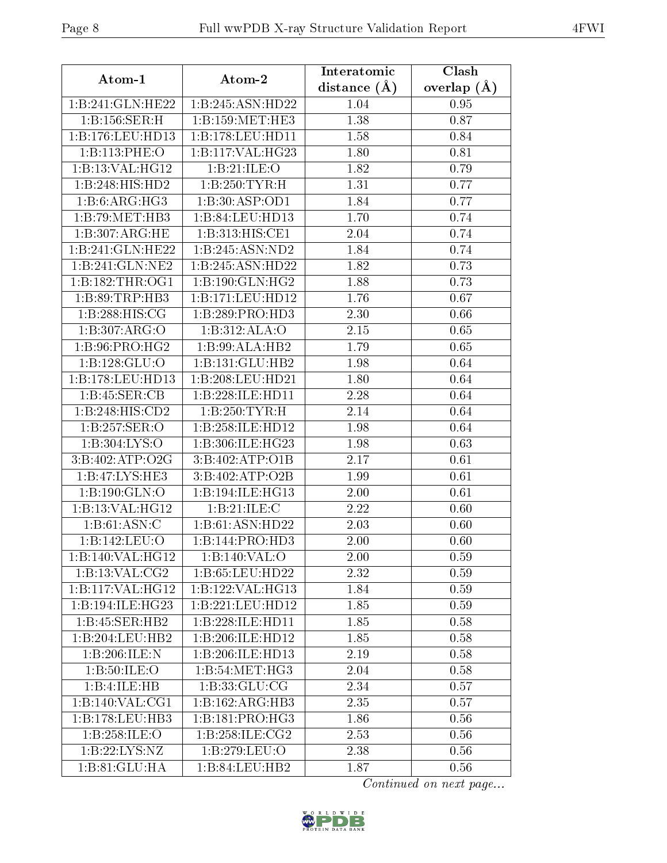| Atom-1                     | Atom-2              | Interatomic    | Clash         |  |
|----------------------------|---------------------|----------------|---------------|--|
|                            |                     | distance $(A)$ | overlap $(A)$ |  |
| 1:B:241:GLN:HE22           | 1:B:245:ASN:HD22    | 1.04           | 0.95          |  |
| 1:Bi:156:SER:H             | 1:B:159:MET:HE3     | 1.38           | 0.87          |  |
| 1:B:176:LEU:HD13           | 1:B:178:LEU:HD11    | 1.58           | 0.84          |  |
| 1:B:113:PHE:O              | 1:B:117:VAL:HG23    | 1.80           | 0.81          |  |
| 1:B:13:VAL:HG12            | 1:B:21:ILE:O        | 1.82           | 0.79          |  |
| 1:B:248:HIS:HD2            | 1:B:250:TYR:H       | 1.31           | 0.77          |  |
| 1:B:6:ARG:HG3              | 1:B:30:ASP:OD1      | 1.84           | 0.77          |  |
| 1:B:79:MET:HB3             | 1:B:84:LEU:HD13     | 1.70           | 0.74          |  |
| 1:B:307:ARG:HE             | 1:B:313:HIS:CE1     | 2.04           | 0.74          |  |
| 1:B:241:GLN:HE22           | 1:B:245:ASN:ND2     | 1.84           | 0.74          |  |
| 1:B:241:GLN:NE2            | 1:B:245:ASN:HD22    | 1.82           | 0.73          |  |
| 1: B: 182: THR: OG1        | 1:B:190:GLN:HG2     | 1.88           | 0.73          |  |
| 1:B:89:TRP:HB3             | 1:B:171:LEU:HD12    | 1.76           | 0.67          |  |
| 1:B:288:HIS:CG             | 1: B:289: PRO:HD3   | 2.30           | 0.66          |  |
| 1:B:307:ARG:O              | 1:B:312:ALA:O       | 2.15           | 0.65          |  |
| 1:B:96:PRO:HG2             | 1:B:99:ALA:HB2      | 1.79           | 0.65          |  |
| 1: B: 128: GLU:O           | 1:B:131:GLU:HB2     | 1.98           | 0.64          |  |
| 1:B:178:LEU:HD13           | 1:B:208:LEU:HD21    | 1.80           | 0.64          |  |
| 1:B:45:SER:CB              | 1:B:228:ILE:HD11    | 2.28           | 0.64          |  |
| 1:B:248:HIS:CD2            | 1:B:250:TYR:H       | 2.14           | 0.64          |  |
| 1:B:257:SER:O              | 1:B:258:ILE:HD12    | 1.98           | 0.64          |  |
| 1: B: 304: LYS: O          | 1:B:306:ILE:HG23    | 1.98           | 0.63          |  |
| 3:B:402:ATP:O2G            | 3:B:402:ATP:O1B     | 2.17           | 0.61          |  |
| 1:B:47:LYS:HE3             | 3:B:402:ATP:O2B     | 1.99           | 0.61          |  |
| $1:B:190:\overline{GLN:O}$ | 1:B:194:ILE:HG13    | 2.00           | 0.61          |  |
| 1:B:13:VAL:HG12            | 1:B:21:ILE:C        | 2.22           | 0.60          |  |
| 1: B:61: ASN: C            | 1:B:61:ASN:HD22     | 2.03           | 0.60          |  |
| 1:B:142:LEU:O              | 1:B:144:PRO:HD3     | 2.00           | 0.60          |  |
| 1:B:140:VAL:HG12           | 1:B:140:VAL:O       | 2.00           | 0.59          |  |
| 1:B:13:VAL:CG2             | 1:B:65:LEU:HD22     | 2.32           | 0.59          |  |
| 1:B:117:VAL:HG12           | 1:B:122:VAL:HG13    | 1.84           | 0.59          |  |
| 1:B:194:ILE:HG23           | 1:B:221:LEU:HD12    | 1.85           | 0.59          |  |
| 1:B:45:SER:HB2             | 1:B:228:ILE:HD11    | 1.85           | 0.58          |  |
| 1:B:204:LEU:HB2            | 1:B:206:ILE:HD12    | 1.85           | 0.58          |  |
| 1:B:206:ILE:N              | 1:B:206:ILE:HD13    | 2.19           | 0.58          |  |
| 1: B:50: ILE: O            | 1:B:54:MET:HG3      | 2.04           | 0.58          |  |
| 1:B:4:ILE:HB               | 1: B: 33: GLU: CG   | 2.34           | 0.57          |  |
| 1:B:140:VAL:CG1            | 1:B:162:ARG:HB3     | 2.35           | 0.57          |  |
| 1:B:178:LEU:HB3            | 1:B:181:PRO:HG3     | 1.86           | 0.56          |  |
| 1:B:258:ILE:O              | 1: B: 258: ILE: CG2 | 2.53           | 0.56          |  |
| 1:B:22:LYS:NZ              | 1:B:279:LEU:O       | 2.38           | 0.56          |  |
| 1:B:81:GLU:HA              | 1:B:84:LEU:HB2      | 1.87           | 0.56          |  |

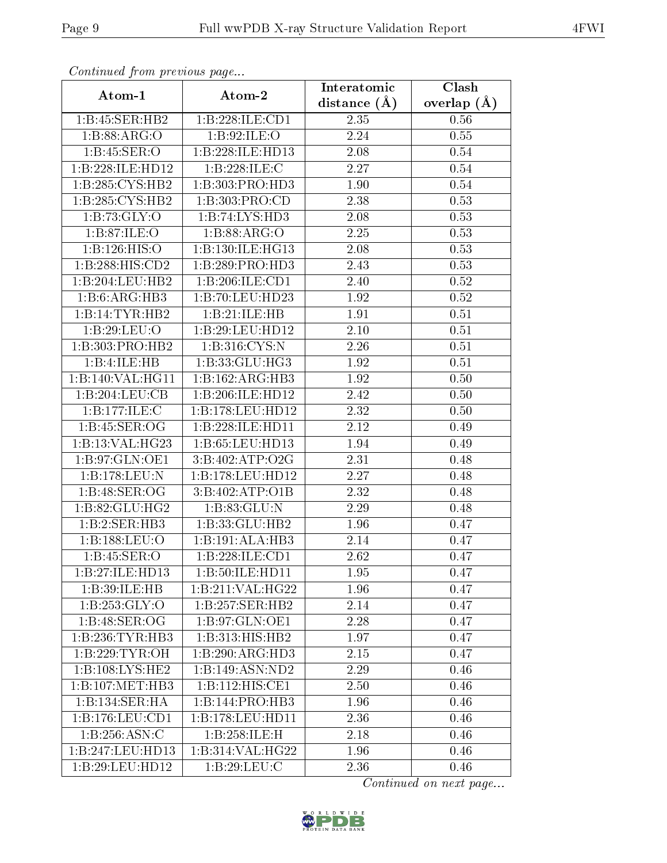|                     | Continued from previous page                    |                  | Clash           |
|---------------------|-------------------------------------------------|------------------|-----------------|
| Atom-1              | Atom-2                                          | distance $(\AA)$ | overlap $(\AA)$ |
| 1:B:45:SER:HB2      | 1:B:228:ILE:CD1                                 | 2.35             | 0.56            |
| 1:B:88:ARG:O        | 1:B:92:ILE:O                                    | 2.24             | 0.55            |
| 1:B:45:SER:O        | 1:B:228:ILE:HD13                                | 2.08             | 0.54            |
| 1:B:228:ILE:HD12    | 1: B: 228: ILE:C                                | 2.27             | 0.54            |
| 1:B:285:CYS:HB2     | 1:B:303:PRO:HD3                                 | 1.90             | 0.54            |
| 1:B:285:CYS:HB2     | 1:B:303:PRO:CD                                  | 2.38             | 0.53            |
| 1:B:73:GLY:O        | 1:B:74:LYS:HD3                                  | 2.08             | 0.53            |
| 1: B:87: ILE: O     | 1:B:88:ARG:O                                    | 2.25             | 0.53            |
| 1:B:126:HIS:O       | 1:B:130:ILE:HG13                                | 2.08             | 0.53            |
| 1:B:288:HIS:CD2     | 1: B:289: PRO:HD3                               | 2.43             | 0.53            |
| 1:B:204:LEU:HB2     | 1:B:206:ILE:CD1                                 | 2.40             | 0.52            |
| 1:B:6:ARG:HB3       | 1:B:70:LEU:HD23                                 | 1.92             | 0.52            |
| 1:B:14:TYR:HB2      | 1:B:21:ILE:HB                                   | 1.91             | 0.51            |
| 1:B:29:LEU:O        | 1:B:29:LEU:HD12                                 | 2.10             | 0.51            |
| 1:B:303:PRO:HB2     | 1:B:316:CYS:N                                   | 2.26             | 0.51            |
| 1:B:4:ILE:HB        | 1: B: 33: GLU: HG3                              | 1.92             | 0.51            |
| 1:B:140:VAL:HG11    | 1:B:162:ARG:HB3                                 | 1.92             | 0.50            |
| 1:B:204:LEU:CB      | 1:B:206:ILE:HD12                                | 2.42             | 0.50            |
| 1:B:177:ILE:C       | 1:B:178:LEU:HD12                                | 2.32             | 0.50            |
| 1:B:45:SER:OG       | 1:B:228:ILE:HD11                                | 2.12             | 0.49            |
| 1:B:13:VAL:HG23     | 1:B:65:LEU:HD13                                 | 1.94             | 0.49            |
| 1:B:97:GLN:OE1      | 3:B:402:ATP:O2G                                 | 2.31             | 0.48            |
| 1:B:178:LEU:N       | 1:B:178:LEU:HD12                                | 2.27             | 0.48            |
| 1:B:48:SER:OG       | 3: B:402:ATP:O1B                                | 2.32             | 0.48            |
| 1: B:82: GLU: HG2   | 1: B: 83: GLU: N                                | 2.29             | 0.48            |
| 1:B:2:SER:HB3       | 1:B:33:GLU:HB2                                  | 1.96             | 0.47            |
| 1:B:188:LEU:O       | 1:B:191:ALA:HB3                                 | 2.14             | 0.47            |
| 1:B:45:SER:O        | 1:B:228:ILE:CD1                                 | 2.62             | 0.47            |
| 1:B:27:ILE:HD13     | 1:B:50:ILE:HD11                                 | 1.95             | 0.47            |
| 1:B:39:ILE:HB       | $1:B:211:V\overline{\mathrm{AL}:H\mathrm{G}22}$ | 1.96             | 0.47            |
| 1: B: 253: GLY:O    | 1:B:257:SER:HB2                                 | 2.14             | 0.47            |
| 1:B:48:SER:OG       | 1:B:97:GLN:OE1                                  | 2.28             | 0.47            |
| 1:B:236:TYR:HB3     | 1:B:313:HIS:HB2                                 | 1.97             | 0.47            |
| 1:B:229:TTYR:OH     | 1:B:290:ARG:HD3                                 | 2.15             | 0.47            |
| 1: B: 108: LYS: HE2 | 1:B:149:ASN:ND2                                 | 2.29             | 0.46            |
| 1:B:107:MET:HB3     | 1:B:112:HIS:CE1                                 | 2.50             | 0.46            |
| 1:B:134:SER:HA      | 1:B:144:PRO:HB3                                 | 1.96             | 0.46            |
| 1: B: 176: LEU: CD1 | 1:B:178:LEU:HD11                                | 2.36             | 0.46            |
| 1: B:256: ASN:C     | 1:B:258:ILE:H                                   | 2.18             | 0.46            |
| 1:B:247:LEU:HD13    | 1:B:314:VAL:HG22                                | 1.96             | 0.46            |
| 1:B:29:LEU:HD12     | 1:B:29:LEU:C                                    | 2.36             | 0.46            |

Continued from previous page.

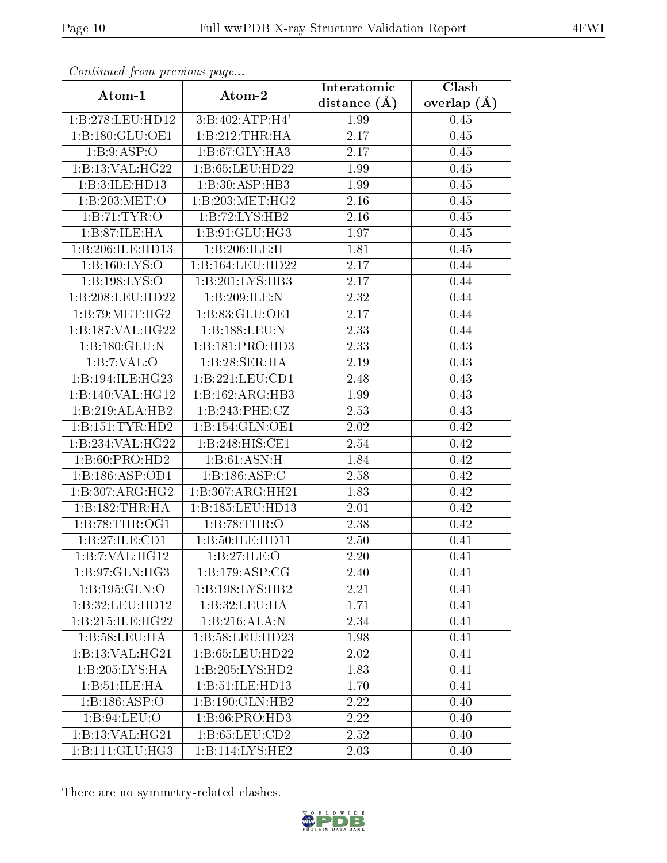| сонинией јтот ртеvиоиз раде  |                            | Interatomic       | Clash           |
|------------------------------|----------------------------|-------------------|-----------------|
| Atom-1                       | Atom-2                     | distance $(\AA)$  | overlap $(\AA)$ |
| 1:B:278:LEU:HD12             | 3:B:402:ATP:H4'            | 1.99              | 0.45            |
| 1:B:180:GLU:OE1              | 1:B:212:THR:HA             | $\overline{2.17}$ | 0.45            |
| 1: B:9: ASP:O                | 1:B:67:GLY:HA3             | 2.17              | $0.45\,$        |
| 1:B:13:VAL:HG22              | 1:B:65:LEU:HD22            | 1.99              | 0.45            |
| 1:B:3:ILE:HD13               | 1:B:30:ASP:HB3             | 1.99              | 0.45            |
| 1:B:203:MET:O                | 1:B:203:MET:HG2            | 2.16              | 0.45            |
| 1:B:71:TYR:O                 | 1:B:72:LYS:HB2             | 2.16              | 0.45            |
| 1:B:87:ILE:HA                | 1:B:91:GLU:HG3             | 1.97              | 0.45            |
| 1:B:206:ILE:HD13             | 1:B:206:ILE:H              | 1.81              | 0.45            |
| 1: B: 160: LYS: O            | 1:B:164:LEU:HD22           | 2.17              | 0.44            |
| 1: B: 198: LYS: O            | 1:B:201:LYS:HB3            | 2.17              | 0.44            |
| 1:B:208:LEU:HD22             | 1:B:209:ILE:N              | 2.32              | 0.44            |
| 1:B:79:MET:HG2               | 1:B:83:GLU:OE1             | 2.17              | 0.44            |
| 1:B:187:VAL:HG22             | 1:B:188:LEU:N              | 2.33              | 0.44            |
| 1:B:180:GLU:N                | 1:B:181:PRO:HD3            | 2.33              | 0.43            |
| 1:B:7:VAL:O                  | 1:B:28:SER:HA              | 2.19              | 0.43            |
| 1:B:194:ILE:HG23             | 1:B:221:LEU:CD1            | 2.48              | 0.43            |
| 1:B:140:VAL:HG12             | 1:B:162:ARG:HB3            | 1.99              | 0.43            |
| 1:B:219:ALA:HB2              | 1:B:243:PHE:CZ             | 2.53              | 0.43            |
| 1:B:151:TYR:HD2              | 1:B:154:GLN:OE1            | 2.02              | 0.42            |
| 1:B:234:VAL:HG22             | 1:B:248:HIS:CE1            | 2.54              | 0.42            |
| 1:B:60:PRO:HD2               | 1:B:61:ASN:H               | 1.84              | 0.42            |
| 1:B:186:ASP:OD1              | 1:B:186:ASP:C              | 2.58              | 0.42            |
| 1:B:307:ARG:HG2              | 1:B:307:ARG:HH21           | 1.83              | 0.42            |
| 1:B:182:THR:HA               | 1:B:185:LEU:HD13           | 2.01              | 0.42            |
| 1:B:78:THR:OG1               | 1:B:78:THR:O               | 2.38              | 0.42            |
| 1:B:27:ILE:CD1               | 1:B:50:ILE:HD11            | 2.50              | 0.41            |
| 1:B:7:VAL:HG12               | 1: B:27: ILE: O            | 2.20              | 0.41            |
| 1:B:97:GLN:HG3               | 1:B:179:ASP:CG             | 2.40              | 0.41            |
| 1:B:195:GLN:O                | 1:B:198:LYS:HB2            | 2.21              | 0.41            |
| 1:B:32:LEU:HD12              | 1:B:32:LEU:HA              | 1.71              | 0.41            |
| 1:B:215:ILE:HG22             | 1:B:216:ALA:N              | 2.34              | 0.41            |
| 1: B: 58: LEU: HA            | 1:B:58:LEU:HD23            | 1.98              | 0.41            |
| 1:B:13:VAL:HG21              | 1:B:65:LEU:HD22            | 2.02              | 0.41            |
| 1:B:205:LYS:HA               | 1:B:205:LYS:HD2            | 1.83              | 0.41            |
| 1:B:51:ILE:HA                | 1:B:51:ILE:HD13            | 1.70              | 0.41            |
| 1:B:186:ASP:O                | 1:B:190:GLN:HB2            | 2.22              | 0.40            |
| 1:B:94:LEU:O                 | 1:B:96:PRO:H <sub>D3</sub> | 2.22              | 0.40            |
| 1:B:13:VAL:HG21              | 1:B:65:LEU:CD2             | 2.52              | 0.40            |
| $1:B:111:GL\overline{U:HG3}$ | 1:B:114:LYS:HE2            | 2.03              | 0.40            |

Continued from previous page.

There are no symmetry-related clashes.

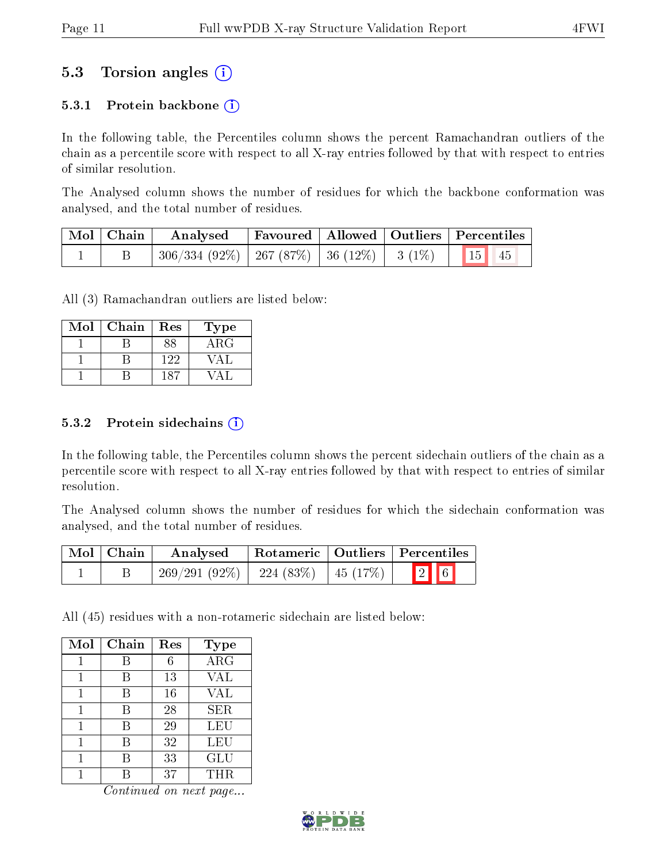### 5.3 Torsion angles (i)

#### 5.3.1 Protein backbone  $(i)$

In the following table, the Percentiles column shows the percent Ramachandran outliers of the chain as a percentile score with respect to all X-ray entries followed by that with respect to entries of similar resolution.

The Analysed column shows the number of residues for which the backbone conformation was analysed, and the total number of residues.

| $\mid$ Mol $\mid$ Chain $\mid$ | Analysed                                                   |  | Favoured   Allowed   Outliers   Percentiles |  |
|--------------------------------|------------------------------------------------------------|--|---------------------------------------------|--|
|                                | $306/334 (92\%)$   267 (87%)   36 (12%)   3 (1%)   15   45 |  |                                             |  |

All (3) Ramachandran outliers are listed below:

| Mol | Chain | Res | ${\bf Type}$ |
|-----|-------|-----|--------------|
|     |       |     | $\rm{ARG}$   |
|     |       | 122 |              |
|     |       |     |              |

#### $5.3.2$  Protein sidechains  $(i)$

In the following table, the Percentiles column shows the percent sidechain outliers of the chain as a percentile score with respect to all X-ray entries followed by that with respect to entries of similar resolution.

The Analysed column shows the number of residues for which the sidechain conformation was analysed, and the total number of residues.

| Mol   Chain | Rotameric   Outliers   Percentiles<br>Analysed |                      |               |  |
|-------------|------------------------------------------------|----------------------|---------------|--|
|             | $269/291(92\%)$                                | 224 (83%)   45 (17%) | $\boxed{2}$ 6 |  |

All (45) residues with a non-rotameric sidechain are listed below:

| Mol | Chain | Res | <b>Type</b> |
|-----|-------|-----|-------------|
|     | В     | 6   | $\rm{ARG}$  |
|     | В     | 13  | <b>VAL</b>  |
|     | В     | 16  | <b>VAL</b>  |
|     | В     | 28  | <b>SER</b>  |
|     | B     | 29  | LEU         |
|     | В     | 32  | LEU         |
|     | В     | 33  | <b>GLU</b>  |
|     |       | 37  | THR.        |

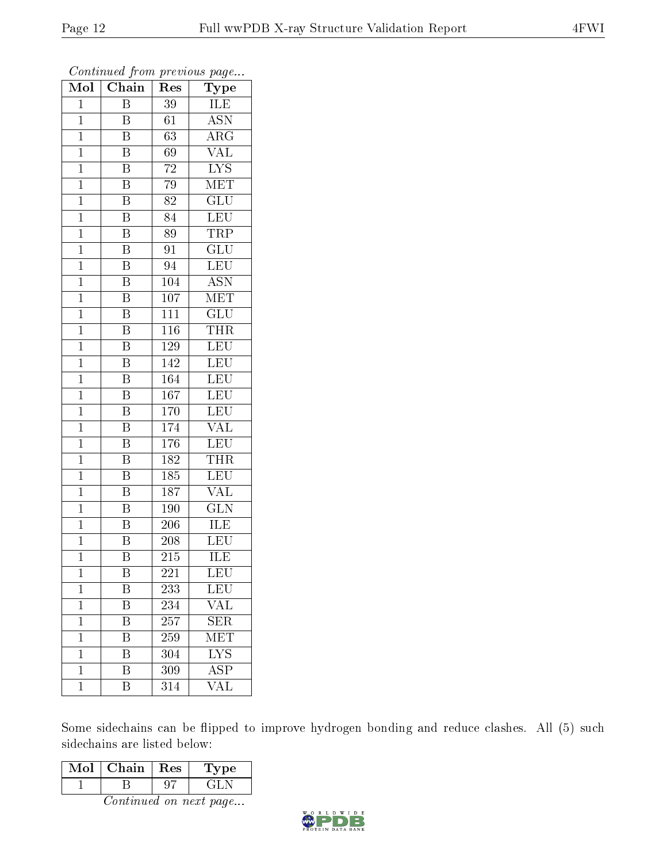| Mol            | Chain<br>Res            |                  | Type                      |  |  |
|----------------|-------------------------|------------------|---------------------------|--|--|
| $\mathbf{1}$   | $\overline{\mathrm{B}}$ | 39               | ILE                       |  |  |
| $\mathbf 1$    | B                       | 61               | $A\overline{SN}$          |  |  |
| $\mathbf{1}$   | $\overline{\mathrm{B}}$ | 63               | $\rm A\overline{RG}$      |  |  |
| $\mathbf{1}$   | $\overline{\mathrm{B}}$ | 69               | $\overline{\text{VAL}}$   |  |  |
| $\overline{1}$ | $\overline{\mathrm{B}}$ | $\overline{72}$  | $\overline{\text{LYS}}$   |  |  |
| $\mathbf{1}$   | $\boldsymbol{B}$        | $\overline{7}9$  | <b>MET</b>                |  |  |
| $\mathbf{1}$   | $\overline{\mathrm{B}}$ | 82               | $\overline{\text{GLU}}$   |  |  |
| $\mathbf{1}$   | $\overline{\mathrm{B}}$ | 84               | LEU                       |  |  |
| $\mathbf{1}$   | $\overline{\mathrm{B}}$ | 89               | TRP                       |  |  |
| $\mathbf 1$    | $\overline{\mathrm{B}}$ | 91               | $\overline{{\rm GLU}}$    |  |  |
| $\mathbf{1}$   | $\overline{\mathrm{B}}$ | 94               | $\overline{\text{LEU}}$   |  |  |
| $\overline{1}$ | $\overline{\mathrm{B}}$ | 104              | $\overline{\mathrm{ASN}}$ |  |  |
| $\mathbf{1}$   | $\overline{\mathrm{B}}$ | 107              | $\overline{\text{MET}}$   |  |  |
| $\mathbf{1}$   | $\overline{\mathrm{B}}$ | 111              | GLU                       |  |  |
| $\mathbf 1$    | $\overline{\mathrm{B}}$ | $\overline{116}$ | <b>THR</b>                |  |  |
| $\mathbf 1$    | B                       | 129              | LEU                       |  |  |
| $\overline{1}$ | $\overline{\mathrm{B}}$ | 142              | LEU                       |  |  |
| $\mathbf{1}$   | $\overline{\mathrm{B}}$ | 164              | LEU                       |  |  |
| $\mathbf 1$    | B                       | 167              | LEU                       |  |  |
| $\mathbf{1}$   | $\rm \bar{B}$           | $\overline{1}70$ | LEU                       |  |  |
| $\overline{1}$ | $\overline{\mathrm{B}}$ | 174              | $\overline{\text{VAL}}$   |  |  |
| $\overline{1}$ | $\overline{\mathbf{B}}$ | 176              | LEU                       |  |  |
| $\mathbf{1}$   | B                       | 182              | <b>THR</b>                |  |  |
| $\mathbf{1}$   | $\overline{\mathrm{B}}$ | 185              | LEU                       |  |  |
| $\mathbf{1}$   | $\overline{\mathrm{B}}$ | $\overline{187}$ | <b>VAL</b>                |  |  |
| $\mathbf{1}$   | $\overline{\mathrm{B}}$ | $\overline{1}90$ | $\overline{\text{GLN}}$   |  |  |
| $\mathbf{1}$   | $\overline{\mathrm{B}}$ | 206              | ILE                       |  |  |
| $\mathbf{1}$   | B                       | 208              | LEU                       |  |  |
| $\mathbf 1$    | $\overline{\mathrm{B}}$ | $\overline{2}15$ | $\overline{\rm ILE}$      |  |  |
| $\mathbf 1$    | Β                       | 221              | LEU                       |  |  |
| $\mathbf 1$    | Β                       | 233              | LEU                       |  |  |
| $\mathbf 1$    | $\overline{\mathrm{B}}$ | 234              | $\rm VAL$                 |  |  |
| $\mathbf{1}$   | Β                       | 257              | <b>SER</b>                |  |  |
| $\mathbf{1}$   | $\overline{\mathrm{B}}$ | 259              | MET                       |  |  |
| $\mathbf 1$    | Β                       | 304              | <b>LYS</b>                |  |  |
| $\overline{1}$ | $\overline{\mathrm{B}}$ | 309              | $\overline{\rm ASP}$      |  |  |
| $\mathbf{1}$   | Β                       | 314              | VAL                       |  |  |

Continued from previous page...

Some sidechains can be flipped to improve hydrogen bonding and reduce clashes. All (5) such sidechains are listed below:

| Mol | Chain | $\operatorname{Res}$ | <b>Type</b> |
|-----|-------|----------------------|-------------|
|     |       |                      |             |

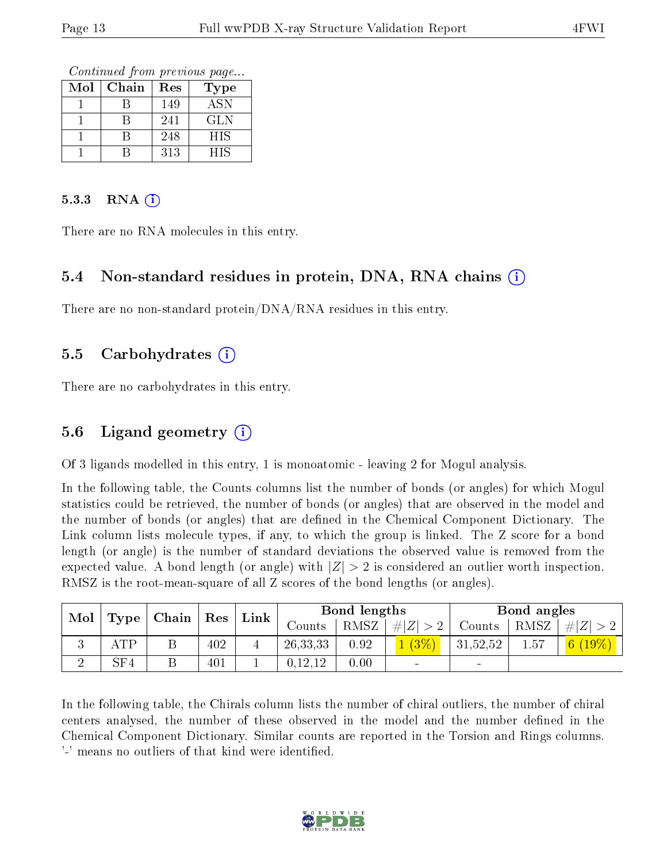Continued from previous page...

| Mol | Chain | Res | Type       |
|-----|-------|-----|------------|
|     |       | 149 | <b>ASN</b> |
|     |       | 241 | <b>GLN</b> |
|     |       | 248 | <b>HIS</b> |
|     |       | 313 | HIS        |

#### 5.3.3 RNA  $(i)$

There are no RNA molecules in this entry.

#### 5.4 Non-standard residues in protein, DNA, RNA chains  $(i)$

There are no non-standard protein/DNA/RNA residues in this entry.

#### 5.5 Carbohydrates  $(i)$

There are no carbohydrates in this entry.

#### 5.6 Ligand geometry  $(i)$

Of 3 ligands modelled in this entry, 1 is monoatomic - leaving 2 for Mogul analysis.

In the following table, the Counts columns list the number of bonds (or angles) for which Mogul statistics could be retrieved, the number of bonds (or angles) that are observed in the model and the number of bonds (or angles) that are defined in the Chemical Component Dictionary. The Link column lists molecule types, if any, to which the group is linked. The Z score for a bond length (or angle) is the number of standard deviations the observed value is removed from the expected value. A bond length (or angle) with  $|Z| > 2$  is considered an outlier worth inspection. RMSZ is the root-mean-square of all Z scores of the bond lengths (or angles).

| $\bf{Mol}$ |             | $\mid$ Type $\mid$ Chain $\mid$ Res $\mid$ |     | Link |            | Bond lengths |             |          | Bond angles |           |
|------------|-------------|--------------------------------------------|-----|------|------------|--------------|-------------|----------|-------------|-----------|
|            |             |                                            |     |      | Counts     | RMSZ         | # $ Z  > 2$ | Counts   | RMSZ        | $\# Z $   |
|            | ATP         |                                            | 402 |      | 26, 33, 33 | 0.92         | $1(3\%)$    | 31,52,52 | 1.57        | 6 $(19%)$ |
|            | ${\rm SF4}$ |                                            | 401 |      | 0,12,12    | 0.00         | $\sim$      |          |             |           |

In the following table, the Chirals column lists the number of chiral outliers, the number of chiral centers analysed, the number of these observed in the model and the number defined in the Chemical Component Dictionary. Similar counts are reported in the Torsion and Rings columns. '-' means no outliers of that kind were identified.

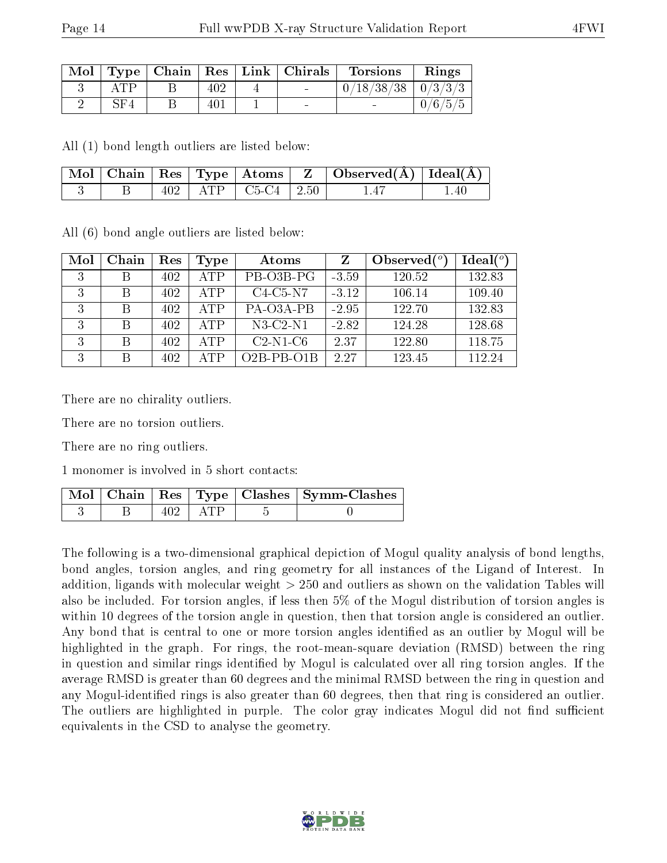| Mol |     |     | $\vert$ Type   Chain   Res   Link   Chirals | <b>Torsions</b>          | Rings   |
|-----|-----|-----|---------------------------------------------|--------------------------|---------|
|     |     |     | $\sim$                                      | $0/18/38/38$   $0/3/3/3$ |         |
|     | SF4 | 401 | $\sim$                                      |                          | 0/6/5/5 |

All (1) bond length outliers are listed below:

|  |  |                            | $\vert$ Mol $\vert$ Chain $\vert$ Res $\vert$ Type $\vert$ Atoms $\vert$ Z $\vert$ Observed(A) $\vert$ Ideal(A) |     |
|--|--|----------------------------|-----------------------------------------------------------------------------------------------------------------|-----|
|  |  | $402$   ATP   C5-C4   2.50 | 1.41                                                                                                            | .40 |

All (6) bond angle outliers are listed below:

| Mol | Chain | Res | Type       | Atoms        |         | Observed $(°)$ | Ideal $(°)$ |
|-----|-------|-----|------------|--------------|---------|----------------|-------------|
| 3   | В     | 402 | ATP        | PB-O3B-PG    | $-3.59$ | 120.52         | 132.83      |
| 3   | В     | 402 | <b>ATP</b> | $C4-C5-N7$   | $-3.12$ | 106.14         | 109.40      |
| 3   | В     | 402 | ATP        | PA-O3A-PB    | $-2.95$ | 122.70         | 132.83      |
| 3   | В     | 402 | ATP        | $N3-C2-N1$   | $-2.82$ | 124.28         | 128.68      |
| 3   | В     | 402 | ATP        | $C2-N1-C6$   | 2.37    | 122.80         | 118.75      |
| 3   | В     | 402 | ATP        | $O2B-PB-O1B$ | 2.27    | 123.45         | 112.24      |

There are no chirality outliers.

There are no torsion outliers.

There are no ring outliers.

1 monomer is involved in 5 short contacts:

|  |              | Mol   Chain   Res   Type   Clashes   Symm-Clashes |
|--|--------------|---------------------------------------------------|
|  | $-402$   ATP |                                                   |

The following is a two-dimensional graphical depiction of Mogul quality analysis of bond lengths, bond angles, torsion angles, and ring geometry for all instances of the Ligand of Interest. In addition, ligands with molecular weight > 250 and outliers as shown on the validation Tables will also be included. For torsion angles, if less then 5% of the Mogul distribution of torsion angles is within 10 degrees of the torsion angle in question, then that torsion angle is considered an outlier. Any bond that is central to one or more torsion angles identified as an outlier by Mogul will be highlighted in the graph. For rings, the root-mean-square deviation (RMSD) between the ring in question and similar rings identified by Mogul is calculated over all ring torsion angles. If the average RMSD is greater than 60 degrees and the minimal RMSD between the ring in question and any Mogul-identied rings is also greater than 60 degrees, then that ring is considered an outlier. The outliers are highlighted in purple. The color gray indicates Mogul did not find sufficient equivalents in the CSD to analyse the geometry.

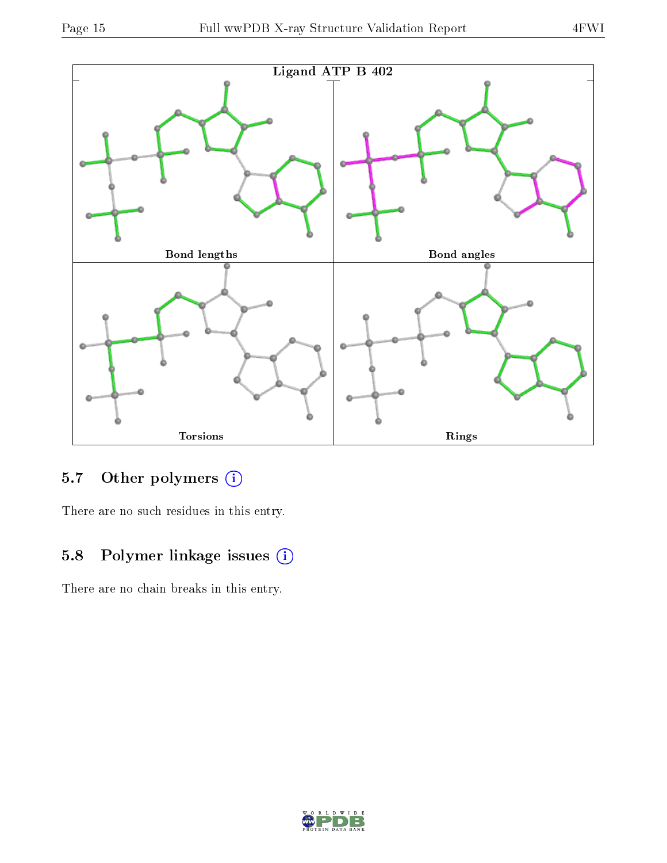

## 5.7 [O](https://www.wwpdb.org/validation/2017/XrayValidationReportHelp#nonstandard_residues_and_ligands)ther polymers (i)

There are no such residues in this entry.

### 5.8 Polymer linkage issues (i)

There are no chain breaks in this entry.

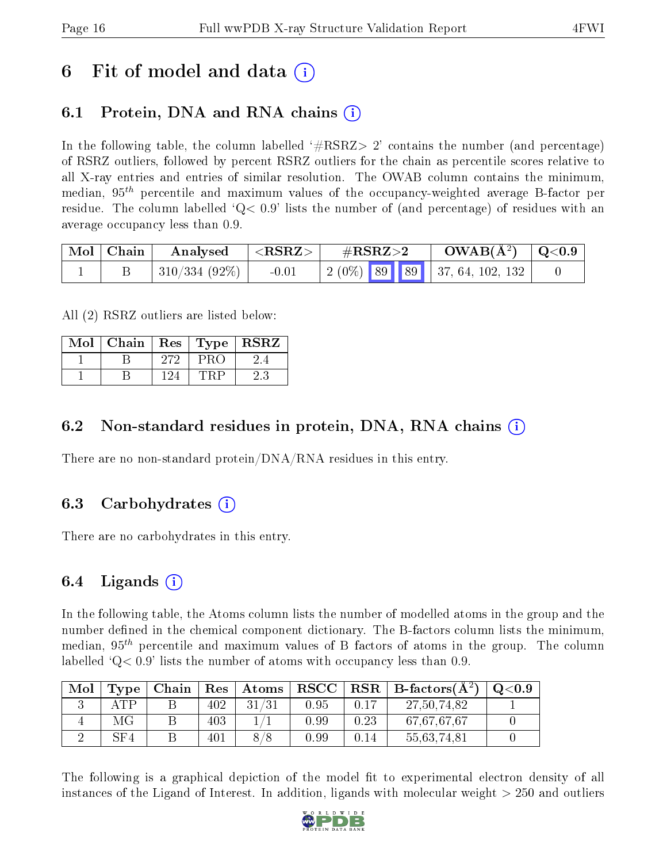## 6 Fit of model and data  $\left( \cdot \right)$

### 6.1 Protein, DNA and RNA chains (i)

In the following table, the column labelled  $#RSRZ>2'$  contains the number (and percentage) of RSRZ outliers, followed by percent RSRZ outliers for the chain as percentile scores relative to all X-ray entries and entries of similar resolution. The OWAB column contains the minimum, median,  $95<sup>th</sup>$  percentile and maximum values of the occupancy-weighted average B-factor per residue. The column labelled  $Q< 0.9$  lists the number of (and percentage) of residues with an average occupancy less than 0.9.

| $\vert$ Mol $\vert$ Chain | Analysed                  | $\perp$ <rsrz></rsrz> | $\#\mathrm{RSRZ}{>}2$               | $\rm{OWAB}(\rm{\AA}^2)$   Q<0.9 |  |
|---------------------------|---------------------------|-----------------------|-------------------------------------|---------------------------------|--|
|                           | $\pm$ 310/334 (92%) $\pm$ | $-0.01$               | 2 (0%)   89   89   37, 64, 102, 132 |                                 |  |

All (2) RSRZ outliers are listed below:

| Mol | Chain | $\mid$ $\operatorname{Res}$ |               | $\mathbf{Type} \mid \mathbf{R}\overline{\mathbf{S}\mathbf{R}}\overline{\mathbf{Z}}$ |
|-----|-------|-----------------------------|---------------|-------------------------------------------------------------------------------------|
|     |       | 272                         | $P_{\rm{RO}}$ |                                                                                     |
|     |       | 191                         |               |                                                                                     |

#### 6.2 Non-standard residues in protein, DNA, RNA chains  $(i)$

There are no non-standard protein/DNA/RNA residues in this entry.

#### 6.3 Carbohydrates (i)

There are no carbohydrates in this entry.

### 6.4 Ligands  $(i)$

In the following table, the Atoms column lists the number of modelled atoms in the group and the number defined in the chemical component dictionary. The B-factors column lists the minimum, median,  $95<sup>th</sup>$  percentile and maximum values of B factors of atoms in the group. The column labelled  $Q < 0.9$  lists the number of atoms with occupancy less than 0.9.

| Mol | Type | Chain | $\operatorname{Res}$ | Atoms | $\bf RSCC$ |      | $\parallel$ RSR $\parallel$ B-factors( $\rm \AA^2)$ ) | Q <sub>0.9</sub> |
|-----|------|-------|----------------------|-------|------------|------|-------------------------------------------------------|------------------|
|     | ATP  |       | 402                  | 31/31 | 0.95       | 0.17 | 27,50,74,82                                           |                  |
|     |      |       | 403                  |       | 0.99       | 0.23 | 67,67,67,67                                           |                  |
|     | SF4  |       | 401                  |       | 0.99       | 0.14 | 55,63,74,81                                           |                  |

The following is a graphical depiction of the model fit to experimental electron density of all instances of the Ligand of Interest. In addition, ligands with molecular weight  $> 250$  and outliers